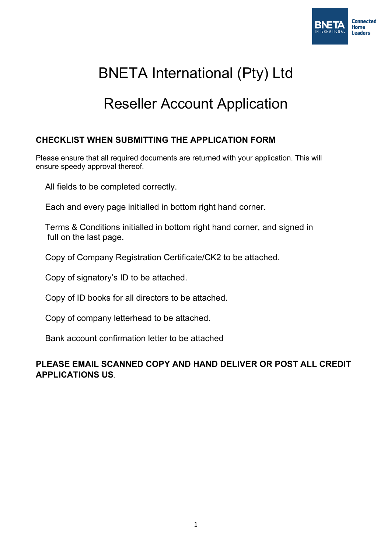

# BNETA International (Pty) Ltd

# Reseller Account Application

### **CHECKLIST WHEN SUBMITTING THE APPLICATION FORM**

Please ensure that all required documents are returned with your application. This will ensure speedy approval thereof.

All fields to be completed correctly.

Each and every page initialled in bottom right hand corner.

 Terms & Conditions initialled in bottom right hand corner, and signed in full on the last page.

Copy of Company Registration Certificate/CK2 to be attached.

Copy of signatory's ID to be attached.

Copy of ID books for all directors to be attached.

Copy of company letterhead to be attached.

Bank account confirmation letter to be attached

### **PLEASE EMAIL SCANNED COPY AND HAND DELIVER OR POST ALL CREDIT APPLICATIONS US.**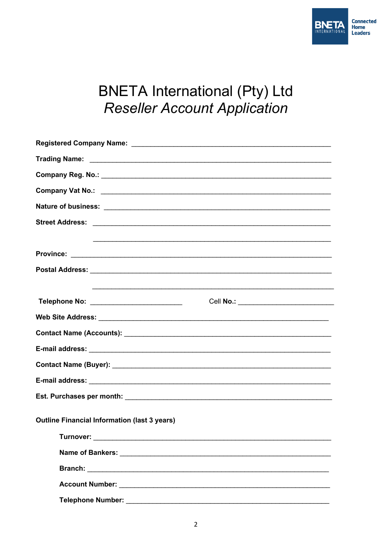

# **BNETA International (Pty) Ltd Reseller Account Application**

| Telephone No: ___________________________           |
|-----------------------------------------------------|
|                                                     |
|                                                     |
|                                                     |
|                                                     |
|                                                     |
|                                                     |
| <b>Outline Financial Information (last 3 years)</b> |
|                                                     |
|                                                     |
|                                                     |
|                                                     |
|                                                     |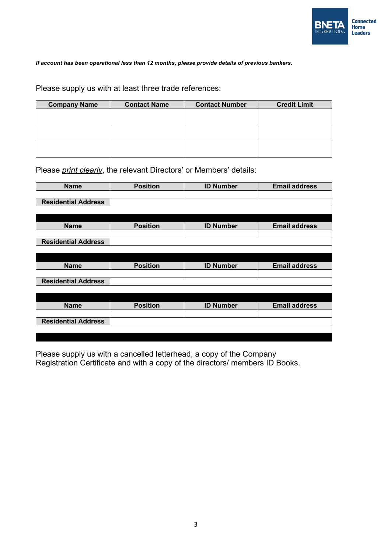

*If account has been operational less than 12 months, please provide details of previous bankers.*

Please supply us with at least three trade references:

| <b>Company Name</b> | <b>Contact Name</b> | <b>Contact Number</b> | <b>Credit Limit</b> |
|---------------------|---------------------|-----------------------|---------------------|
|                     |                     |                       |                     |
|                     |                     |                       |                     |
|                     |                     |                       |                     |
|                     |                     |                       |                     |
|                     |                     |                       |                     |
|                     |                     |                       |                     |

Please *print clearly*, the relevant Directors' or Members' details:

| <b>Name</b>                | <b>Position</b> | <b>ID Number</b> | <b>Email address</b> |
|----------------------------|-----------------|------------------|----------------------|
|                            |                 |                  |                      |
| <b>Residential Address</b> |                 |                  |                      |
|                            |                 |                  |                      |
|                            |                 |                  |                      |
| <b>Name</b>                | <b>Position</b> | <b>ID Number</b> | <b>Email address</b> |
|                            |                 |                  |                      |
| <b>Residential Address</b> |                 |                  |                      |
|                            |                 |                  |                      |
|                            |                 |                  |                      |
| <b>Name</b>                | <b>Position</b> | <b>ID Number</b> | <b>Email address</b> |
|                            |                 |                  |                      |
| <b>Residential Address</b> |                 |                  |                      |
|                            |                 |                  |                      |
|                            |                 |                  |                      |
| <b>Name</b>                | <b>Position</b> | <b>ID Number</b> | <b>Email address</b> |
|                            |                 |                  |                      |
| <b>Residential Address</b> |                 |                  |                      |
|                            |                 |                  |                      |
|                            |                 |                  |                      |

Please supply us with a cancelled letterhead, a copy of the Company Registration Certificate and with a copy of the directors/ members ID Books.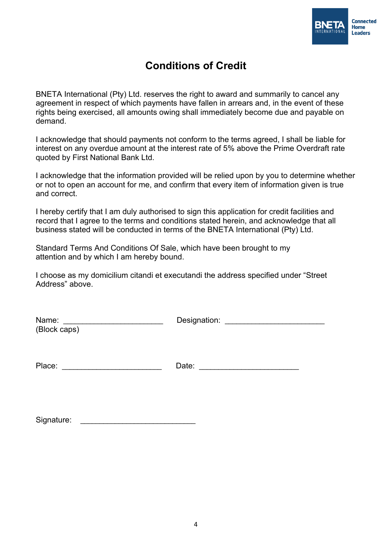

# **Conditions of Credit**

BNETA International (Pty) Ltd. reserves the right to award and summarily to cancel any agreement in respect of which payments have fallen in arrears and, in the event of these rights being exercised, all amounts owing shall immediately become due and payable on demand.

I acknowledge that should payments not conform to the terms agreed, I shall be liable for interest on any overdue amount at the interest rate of 5% above the Prime Overdraft rate quoted by First National Bank Ltd.

I acknowledge that the information provided will be relied upon by you to determine whether or not to open an account for me, and confirm that every item of information given is true and correct.

I hereby certify that I am duly authorised to sign this application for credit facilities and record that I agree to the terms and conditions stated herein, and acknowledge that all business stated will be conducted in terms of the BNETA International (Pty) Ltd.

Standard Terms And Conditions Of Sale, which have been brought to my attention and by which I am hereby bound.

I choose as my domicilium citandi et executandi the address specified under "Street Address" above.

| Name:<br>(Block caps) | Designation: |
|-----------------------|--------------|
|                       |              |
| Place:                | Date:        |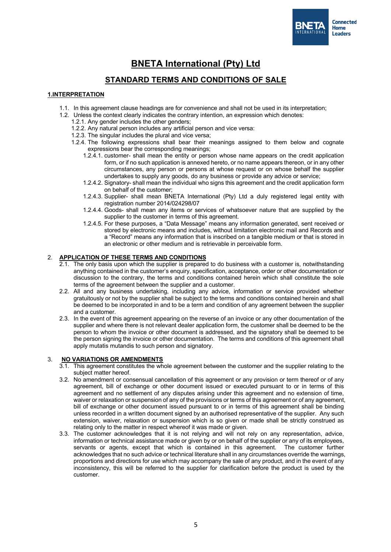

## **BNETA International (Pty) Ltd**

### **STANDARD TERMS AND CONDITIONS OF SALE**

#### **1.INTERPRETATION**

- 1.1. In this agreement clause headings are for convenience and shall not be used in its interpretation;
- 1.2. Unless the context clearly indicates the contrary intention, an expression which denotes:
	- 1.2.1. Any gender includes the other genders;
	- 1.2.2. Any natural person includes any artificial person and vice versa:
	- 1.2.3. The singular includes the plural and vice versa;
	- 1.2.4. The following expressions shall bear their meanings assigned to them below and cognate expressions bear the corresponding meanings;
		- 1.2.4.1. customer- shall mean the entity or person whose name appears on the credit application form, or if no such application is annexed hereto, or no name appears thereon, or in any other circumstances, any person or persons at whose request or on whose behalf the supplier undertakes to supply any goods, do any business or provide any advice or service;
		- 1.2.4.2. Signatory- shall mean the individual who signs this agreement and the credit application form on behalf of the customer;
		- 1.2.4.3. Supplier- shall mean BNETA International (Pty) Ltd a duly registered legal entity with registration number 2014/024298/07
		- 1.2.4.4. Goods- shall mean any items or services of whatsoever nature that are supplied by the supplier to the customer in terms of this agreement.
		- 1.2.4.5. For these purposes, a "Data Message" means any information generated, sent received or stored by electronic means and includes, without limitation electronic mail and Records and a "Record" means any information that is inscribed on a tangible medium or that is stored in an electronic or other medium and is retrievable in perceivable form.

#### 2. **APPLICATION OF THESE TERMS AND CONDITIONS**

- 2.1. The only basis upon which the supplier is prepared to do business with a customer is, notwithstanding anything contained in the customer's enquiry, specification, acceptance, order or other documentation or discussion to the contrary, the terms and conditions contained herein which shall constitute the sole terms of the agreement between the supplier and a customer.
- 2.2. All and any business undertaking, including any advice, information or service provided whether gratuitously or not by the supplier shall be subject to the terms and conditions contained herein and shall be deemed to be incorporated in and to be a term and condition of any agreement between the supplier and a customer.
- 2.3. In the event of this agreement appearing on the reverse of an invoice or any other documentation of the supplier and where there is not relevant dealer application form, the customer shall be deemed to be the person to whom the invoice or other document is addressed, and the signatory shall be deemed to be the person signing the invoice or other documentation. The terms and conditions of this agreement shall apply mutatis mutandis to such person and signatory.

#### 3. **NO VARIATIONS OR AMENDMENTS**

- 3.1. This agreement constitutes the whole agreement between the customer and the supplier relating to the subject matter hereof.
- 3.2. No amendment or consensual cancellation of this agreement or any provision or term thereof or of any agreement, bill of exchange or other document issued or executed pursuant to or in terms of this agreement and no settlement of any disputes arising under this agreement and no extension of time, waiver or relaxation or suspension of any of the provisions or terms of this agreement or of any agreement, bill of exchange or other document issued pursuant to or in terms of this agreement shall be binding unless recorded in a written document signed by an authorised representative of the supplier. Any such extension, waiver, relaxation or suspension which is so given or made shall be strictly construed as relating only to the matter in respect whereof it was made or given.
- 3.3. The customer acknowledges that it is not relying and will not rely on any representation, advice, information or technical assistance made or given by or on behalf of the supplier or any of its employees, servants or agents, except that which is contained in this agreement. The customer further acknowledges that no such advice or technical literature shall in any circumstances override the warnings, proportions and directions for use which may accompany the sale of any product, and in the event of any inconsistency, this will be referred to the supplier for clarification before the product is used by the customer.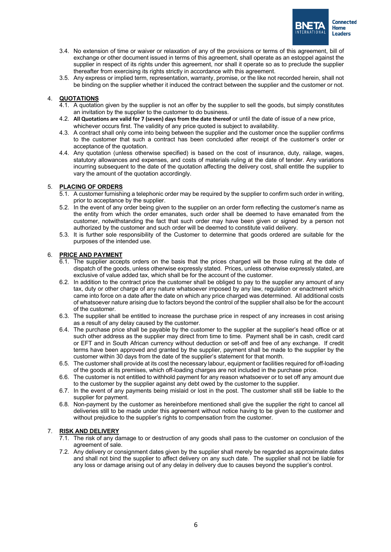

- 3.4. No extension of time or waiver or relaxation of any of the provisions or terms of this agreement, bill of exchange or other document issued in terms of this agreement, shall operate as an estoppel against the supplier in respect of its rights under this agreement, nor shall it operate so as to preclude the supplier thereafter from exercising its rights strictly in accordance with this agreement.
- 3.5. Any express or implied term, representation, warranty, promise, or the like not recorded herein, shall not be binding on the supplier whether it induced the contract between the supplier and the customer or not.

#### 4. **QUOTATIONS**

- 4.1. A quotation given by the supplier is not an offer by the supplier to sell the goods, but simply constitutes an invitation by the supplier to the customer to do business.
- 4.2. **All Quotations are valid for 7 (seven) days from the date thereof** or until the date of issue of a new price, whichever occurs first. The validity of any price quoted is subject to availability.
- 4.3. A contract shall only come into being between the supplier and the customer once the supplier confirms to the customer that such a contract has been concluded after receipt of the customer's order or acceptance of the quotation.
- 4.4. Any quotation (unless otherwise specified) is based on the cost of insurance, duty, railage, wages, statutory allowances and expenses, and costs of materials ruling at the date of tender. Any variations incurring subsequent to the date of the quotation affecting the delivery cost, shall entitle the supplier to vary the amount of the quotation accordingly.

#### 5. **PLACING OF ORDERS**

- 5.1. A customer furnishing a telephonic order may be required by the supplier to confirm such order in writing, prior to acceptance by the supplier.
- 5.2. In the event of any order being given to the supplier on an order form reflecting the customer's name as the entity from which the order emanates, such order shall be deemed to have emanated from the customer, notwithstanding the fact that such order may have been given or signed by a person not authorized by the customer and such order will be deemed to constitute valid delivery.
- 5.3. It is further sole responsibility of the Customer to determine that goods ordered are suitable for the purposes of the intended use.

#### 6. **PRICE AND PAYMENT**

- 6.1. The supplier accepts orders on the basis that the prices charged will be those ruling at the date of dispatch of the goods, unless otherwise expressly stated. Prices, unless otherwise expressly stated, are exclusive of value added tax, which shall be for the account of the customer.
- 6.2. In addition to the contract price the customer shall be obliged to pay to the supplier any amount of any tax, duty or other charge of any nature whatsoever imposed by any law, regulation or enactment which came into force on a date after the date on which any price charged was determined. All additional costs of whatsoever nature arising due to factors beyond the control of the supplier shall also be for the account of the customer.
- 6.3. The supplier shall be entitled to increase the purchase price in respect of any increases in cost arising as a result of any delay caused by the customer.
- 6.4. The purchase price shall be payable by the customer to the supplier at the supplier's head office or at such other address as the supplier may direct from time to time. Payment shall be in cash, credit card or EFT and in South African currency without deduction or set-off and free of any exchange. If credit terms have been approved and granted by the supplier, payment shall be made to the supplier by the customer within 30 days from the date of the supplier's statement for that month.
- 6.5. The customer shall provide at its cost the necessary labour, equipment or facilities required for off-loading of the goods at its premises, which off-loading charges are not included in the purchase price.
- 6.6. The customer is not entitled to withhold payment for any reason whatsoever or to set off any amount due to the customer by the supplier against any debt owed by the customer to the supplier.
- 6.7. In the event of any payments being mislaid or lost in the post. The customer shall still be liable to the supplier for payment.
- 6.8. Non-payment by the customer as hereinbefore mentioned shall give the supplier the right to cancel all deliveries still to be made under this agreement without notice having to be given to the customer and without prejudice to the supplier's rights to compensation from the customer.

#### 7. **RISK AND DELIVERY**

- 7.1. The risk of any damage to or destruction of any goods shall pass to the customer on conclusion of the agreement of sale.
- 7.2. Any delivery or consignment dates given by the supplier shall merely be regarded as approximate dates and shall not bind the supplier to affect delivery on any such date. The supplier shall not be liable for any loss or damage arising out of any delay in delivery due to causes beyond the supplier's control.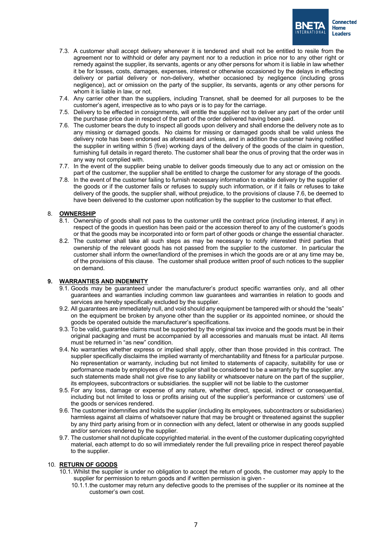

- 7.3. A customer shall accept delivery whenever it is tendered and shall not be entitled to resile from the agreement nor to withhold or defer any payment nor to a reduction in price nor to any other right or remedy against the supplier, its servants, agents or any other persons for whom it is liable in law whether it be for losses, costs, damages, expenses, interest or otherwise occasioned by the delays in effecting delivery or partial delivery or non-delivery, whether occasioned by negligence (including gross negligence), act or omission on the party of the supplier, its servants, agents or any other persons for whom it is liable in law, or not.
- 7.4. Any carrier other than the suppliers, including Transnet, shall be deemed for all purposes to be the customer's agent, irrespective as to who pays or is to pay for the carriage.
- 7.5. Delivery to be effected in consignments, will entitle the supplier not to deliver any part of the order until the purchase price due in respect of the part of the order delivered having been paid.
- 7.6. The customer bears the duty to inspect all goods upon delivery and shall endorse the delivery note as to any missing or damaged goods. No claims for missing or damaged goods shall be valid unless the delivery note has been endorsed as aforesaid and unless, and in addition the customer having notified the supplier in writing within 5 (five) working days of the delivery of the goods of the claim in question, furnishing full details in regard thereto. The customer shall bear the onus of proving that the order was in any way not complied with.
- 7.7. In the event of the supplier being unable to deliver goods timeously due to any act or omission on the part of the customer, the supplier shall be entitled to charge the customer for any storage of the goods.
- 7.8. In the event of the customer failing to furnish necessary information to enable delivery by the supplier of the goods or if the customer fails or refuses to supply such information, or if it fails or refuses to take delivery of the goods, the supplier shall, without prejudice, to the provisions of clause 7.6, be deemed to have been delivered to the customer upon notification by the supplier to the customer to that effect.

#### 8. **OWNERSHIP**

- 8.1. Ownership of goods shall not pass to the customer until the contract price (including interest, if any) in respect of the goods in question has been paid or the accession thereof to any of the customer's goods or that the goods may be incorporated into or form part of other goods or change the essential character.
- 8.2. The customer shall take all such steps as may be necessary to notify interested third parties that ownership of the relevant goods has not passed from the supplier to the customer. In particular the customer shall inform the owner/landlord of the premises in which the goods are or at any time may be, of the provisions of this clause. The customer shall produce written proof of such notices to the supplier on demand.

#### **9. WARRANTIES AND INDEMNITY**

- 9.1. Goods may be guaranteed under the manufacturer's product specific warranties only, and all other guarantees and warranties including common law guarantees and warranties in relation to goods and services are hereby specifically excluded by the supplier.
- 9.2. All guarantees are immediately null, and void should any equipment be tampered with or should the "seals" on the equipment be broken by anyone other than the supplier or its appointed nominee, or should the goods be operated outside the manufacturer's specifications.
- 9.3. To be valid, guarantee claims must be supported by the original tax invoice and the goods must be in their original packaging and must be accompanied by all accessories and manuals must be intact. All items must be returned in "as new" condition.
- 9.4. No warranties whether express or implied shall apply, other than those provided in this contract. The supplier specifically disclaims the implied warranty of merchantability and fitness for a particular purpose. No representation or warranty, including but not limited to statements of capacity, suitability for use or performance made by employees of the supplier shall be considered to be a warranty by the supplier. any such statements made shall not give rise to any liability or whatsoever nature on the part of the supplier, its employees, subcontractors or subsidiaries. the supplier will not be liable to the customer
- 9.5. For any loss, damage or expense of any nature, whether direct, special, indirect or consequential, including but not limited to loss or profits arising out of the supplier's performance or customers' use of the goods or services rendered.
- 9.6. The customer indemnifies and holds the supplier (including its employees, subcontractors or subsidiaries) harmless against all claims of whatsoever nature that may be brought or threatened against the supplier by any third party arising from or in connection with any defect, latent or otherwise in any goods supplied and/or services rendered by the supplier.
- 9.7. The customer shall not duplicate copyrighted material. in the event of the customer duplicating copyrighted material, each attempt to do so will immediately render the full prevailing price in respect thereof payable to the supplier.

#### 10. **RETURN OF GOODS**

- 10.1. Whilst the supplier is under no obligation to accept the return of goods, the customer may apply to the supplier for permission to return goods and if written permission is given -
	- 10.1.1.the customer may return any defective goods to the premises of the supplier or its nominee at the customer's own cost.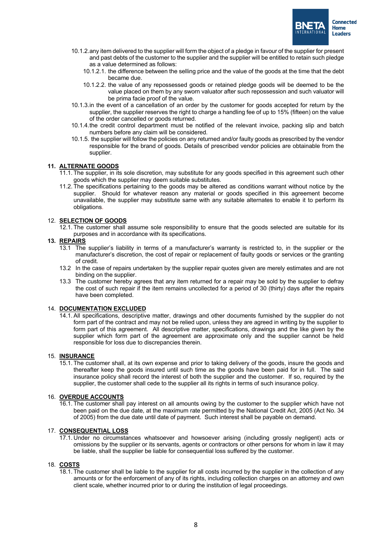

- 10.1.2.any item delivered to the supplier will form the object of a pledge in favour of the supplier for present and past debts of the customer to the supplier and the supplier will be entitled to retain such pledge as a value determined as follows:
	- 10.1.2.1. the difference between the selling price and the value of the goods at the time that the debt became due.
	- 10.1.2.2. the value of any repossessed goods or retained pledge goods will be deemed to be the value placed on them by any sworn valuator after such repossession and such valuator will be prima facie proof of the value.
- 10.1.3.in the event of a cancellation of an order by the customer for goods accepted for return by the supplier, the supplier reserves the right to charge a handling fee of up to 15% (fifteen) on the value of the order cancelled or goods returned.
- 10.1.4.the credit control department must be notified of the relevant invoice, packing slip and batch numbers before any claim will be considered.
- 10.1.5. the supplier will follow the policies on any returned and/or faulty goods as prescribed by the vendor responsible for the brand of goods. Details of prescribed vendor policies are obtainable from the supplier.

#### **11. ALTERNATE GOODS**

- 11.1. The supplier, in its sole discretion, may substitute for any goods specified in this agreement such other goods which the supplier may deem suitable substitutes.
- 11.2. The specifications pertaining to the goods may be altered as conditions warrant without notice by the supplier. Should for whatever reason any material or goods specified in this agreement become unavailable, the supplier may substitute same with any suitable alternates to enable it to perform its obligations.

#### 12. **SELECTION OF GOODS**

12.1. The customer shall assume sole responsibility to ensure that the goods selected are suitable for its purposes and in accordance with its specifications.

#### **13. REPAIRS**

- 13.1 The supplier's liability in terms of a manufacturer's warranty is restricted to, in the supplier or the manufacturer's discretion, the cost of repair or replacement of faulty goods or services or the granting of credit.
- 13.2 In the case of repairs undertaken by the supplier repair quotes given are merely estimates and are not binding on the supplier.
- 13.3 The customer hereby agrees that any item returned for a repair may be sold by the supplier to defray the cost of such repair if the item remains uncollected for a period of 30 (thirty) days after the repairs have been completed.

#### 14. **DOCUMENTATION EXCLUDED**

14.1. All specifications, descriptive matter, drawings and other documents furnished by the supplier do not form part of the contract and may not be relied upon, unless they are agreed in writing by the supplier to form part of this agreement. All descriptive matter, specifications, drawings and the like given by the supplier which form part of the agreement are approximate only and the supplier cannot be held responsible for loss due to discrepancies therein.

#### 15. **INSURANCE**

15.1. The customer shall, at its own expense and prior to taking delivery of the goods, insure the goods and thereafter keep the goods insured until such time as the goods have been paid for in full. The said insurance policy shall record the interest of both the supplier and the customer. If so, required by the supplier, the customer shall cede to the supplier all its rights in terms of such insurance policy.

#### 16. **OVERDUE ACCOUNTS**

16.1. The customer shall pay interest on all amounts owing by the customer to the supplier which have not been paid on the due date, at the maximum rate permitted by the National Credit Act, 2005 (Act No. 34 of 2005) from the due date until date of payment. Such interest shall be payable on demand.

#### 17. **CONSEQUENTIAL LOSS**

17.1. Under no circumstances whatsoever and howsoever arising (including grossly negligent) acts or omissions by the supplier or its servants, agents or contractors or other persons for whom in law it may be liable, shall the supplier be liable for consequential loss suffered by the customer.

#### 18. **COSTS**

18.1. The customer shall be liable to the supplier for all costs incurred by the supplier in the collection of any amounts or for the enforcement of any of its rights, including collection charges on an attorney and own client scale, whether incurred prior to or during the institution of legal proceedings.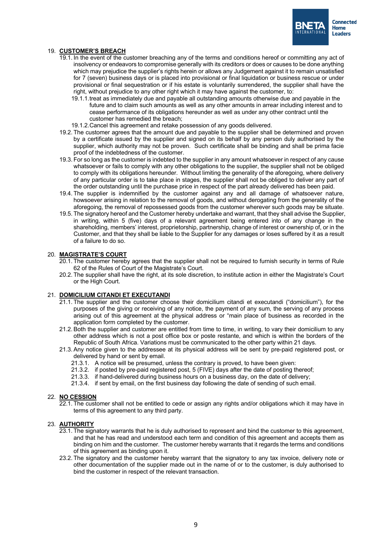

#### 19. **CUSTOMER'S BREACH**

- 19.1. In the event of the customer breaching any of the terms and conditions hereof or committing any act of insolvency or endeavors to compromise generally with its creditors or does or causes to be done anything which may prejudice the supplier's rights herein or allows any Judgement against it to remain unsatisfied for 7 (seven) business days or is placed into provisional or final liquidation or business rescue or under provisional or final sequestration or if his estate is voluntarily surrendered, the supplier shall have the right, without prejudice to any other right which it may have against the customer, to:
	- 19.1.1.treat as immediately due and payable all outstanding amounts otherwise due and payable in the future and to claim such amounts as well as any other amounts in arrear including interest and to cease performance of its obligations hereunder as well as under any other contract until the customer has remedied the breach;
	- 19.1.2.Cancel this agreement and retake possession of any goods delivered.
- 19.2. The customer agrees that the amount due and payable to the supplier shall be determined and proven by a certificate issued by the supplier and signed on its behalf by any person duly authorised by the supplier, which authority may not be proven. Such certificate shall be binding and shall be prima facie proof of the indebtedness of the customer.
- 19.3. For so long as the customer is indebted to the supplier in any amount whatsoever in respect of any cause whatsoever or fails to comply with any other obligations to the supplier, the supplier shall not be obliged to comply with its obligations hereunder. Without limiting the generality of the aforegoing, where delivery of any particular order is to take place in stages, the supplier shall not be obliged to deliver any part of the order outstanding until the purchase price in respect of the part already delivered has been paid.
- 19.4. The supplier is indemnified by the customer against any and all damage of whatsoever nature, howsoever arising in relation to the removal of goods, and without derogating from the generality of the aforegoing, the removal of repossessed goods from the customer wherever such goods may be situate.
- 19.5. The signatory hereof and the Customer hereby undertake and warrant, that they shall advise the Supplier, in writing, within 5 (five) days of a relevant agreement being entered into of any change in the shareholding, members' interest, proprietorship, partnership, change of interest or ownership of, or in the Customer, and that they shall be liable to the Supplier for any damages or loses suffered by it as a result of a failure to do so.

#### 20. **MAGISTRATE'S COURT**

- 20.1. The customer hereby agrees that the supplier shall not be required to furnish security in terms of Rule 62 of the Rules of Court of the Magistrate's Court.
- 20.2. The supplier shall have the right, at its sole discretion, to institute action in either the Magistrate's Court or the High Court.

#### 21. **DOMICILIUM CITANDI ET EXECUTANDI**

- 21.1. The supplier and the customer choose their domicilium citandi et executandi ("domicilium"), for the purposes of the giving or receiving of any notice, the payment of any sum, the serving of any process arising out of this agreement at the physical address or "main place of business as recorded in the application form completed by the customer.
- 21.2. Both the supplier and customer are entitled from time to time, in writing, to vary their domicilium to any other address which is not a post office box or poste restante, and which is within the borders of the Republic of South Africa. Variations must be communicated to the other party within 21 days.
- 21.3. Any notice given to the addressee at its physical address will be sent by pre-paid registered post, or delivered by hand or sent by email.
	- 21.3.1. A notice will be presumed, unless the contrary is proved, to have been given:
	- 21.3.2. if posted by pre-paid registered post, 5 (FIVE) days after the date of posting thereof;
	- 21.3.3. if hand-delivered during business hours on a business day, on the date of delivery;
	- 21.3.4. if sent by email, on the first business day following the date of sending of such email.

#### 22. **NO CESSION**

22.1. The customer shall not be entitled to cede or assign any rights and/or obligations which it may have in terms of this agreement to any third party.

#### 23. **AUTHORITY**

- 23.1. The signatory warrants that he is duly authorised to represent and bind the customer to this agreement, and that he has read and understood each term and condition of this agreement and accepts them as binding on him and the customer. The customer hereby warrants that it regards the terms and conditions of this agreement as binding upon it.
- 23.2. The signatory and the customer hereby warrant that the signatory to any tax invoice, delivery note or other documentation of the supplier made out in the name of or to the customer, is duly authorised to bind the customer in respect of the relevant transaction.